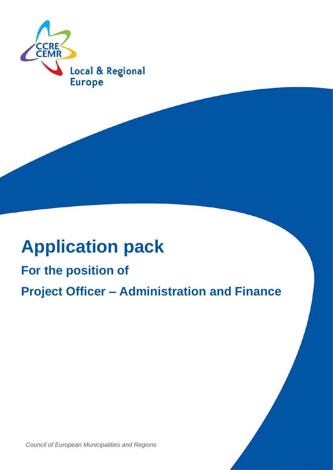

# **Application pack**

## **For the position of Project Officer – Administration and Finance**

*Council of European Municipalities and Regions*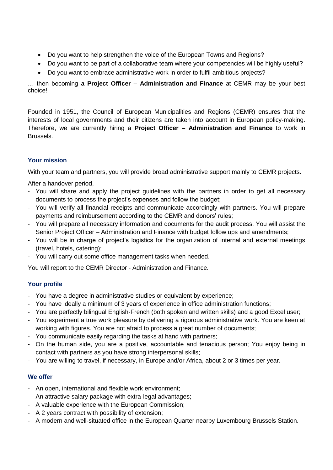- Do you want to help strengthen the voice of the European Towns and Regions?
- Do you want to be part of a collaborative team where your competencies will be highly useful?
- Do you want to embrace administrative work in order to fulfil ambitious projects?

… then becoming **a Project Officer – Administration and Finance** at CEMR may be your best choice!

Founded in 1951, the Council of European Municipalities and Regions (CEMR) ensures that the interests of local governments and their citizens are taken into account in European policy-making. Therefore, we are currently hiring a **Project Officer – Administration and Finance** to work in Brussels.

### **Your mission**

With your team and partners, you will provide broad administrative support mainly to CEMR projects.

After a handover period,

- You will share and apply the project guidelines with the partners in order to get all necessary documents to process the project's expenses and follow the budget;
- You will verify all financial receipts and communicate accordingly with partners. You will prepare payments and reimbursement according to the CEMR and donors' rules;
- You will prepare all necessary information and documents for the audit process. You will assist the Senior Project Officer – Administration and Finance with budget follow ups and amendments;
- You will be in charge of project's logistics for the organization of internal and external meetings (travel, hotels, catering);
- You will carry out some office management tasks when needed.

You will report to the CEMR Director - Administration and Finance.

#### **Your profile**

- You have a degree in administrative studies or equivalent by experience;
- You have ideally a minimum of 3 years of experience in office administration functions;
- You are perfectly bilingual English-French (both spoken and written skills) and a good Excel user;
- You experiment a true work pleasure by delivering a rigorous administrative work. You are keen at working with figures. You are not afraid to process a great number of documents;
- You communicate easily regarding the tasks at hand with partners;
- On the human side, you are a positive, accountable and tenacious person; You enjoy being in contact with partners as you have strong interpersonal skills;
- You are willing to travel, if necessary, in Europe and/or Africa, about 2 or 3 times per year.

#### **We offer**

- An open, international and flexible work environment;
- An attractive salary package with extra-legal advantages;
- A valuable experience with the European Commission;
- A 2 years contract with possibility of extension;
- A modern and well-situated office in the European Quarter nearby Luxembourg Brussels Station.